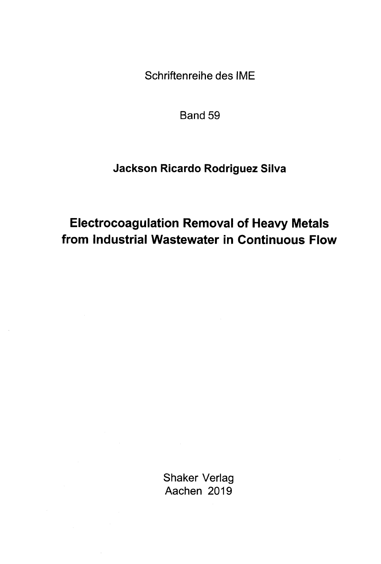Schriftenreihe des IME

Band 59

## Jackson Ricardo Rodriguez Silva

## Electrocoagulation Removal of Heavy Metals from Industrial Wastewater in Continuous Flow

Shaker Verlag Aachen 2019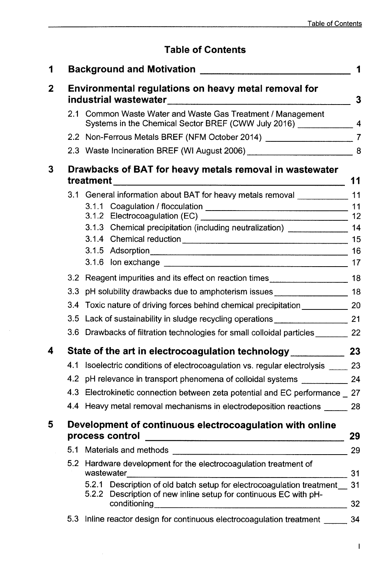## Table of Contents

| 1 |                                                                             | Background and Motivation <b>Exercises Background and Motivation</b>                                                                                               | 1  |  |  |  |
|---|-----------------------------------------------------------------------------|--------------------------------------------------------------------------------------------------------------------------------------------------------------------|----|--|--|--|
| 2 | Environmental regulations on heavy metal removal for                        |                                                                                                                                                                    |    |  |  |  |
|   |                                                                             | 2.1 Common Waste Water and Waste Gas Treatment / Management<br>Systems in the Chemical Sector BREF (CWW July 2016) _____________                                   |    |  |  |  |
|   |                                                                             | 2.2 Non-Ferrous Metals BREF (NFM October 2014) _____________________________7                                                                                      |    |  |  |  |
|   |                                                                             | 2.3 Waste Incineration BREF (WI August 2006) __________________________________8                                                                                   |    |  |  |  |
| 3 | Drawbacks of BAT for heavy metals removal in wastewater                     |                                                                                                                                                                    |    |  |  |  |
|   |                                                                             | 3.1 General information about BAT for heavy metals removal _____________ 11                                                                                        |    |  |  |  |
|   |                                                                             |                                                                                                                                                                    | 11 |  |  |  |
|   |                                                                             |                                                                                                                                                                    |    |  |  |  |
|   |                                                                             | 3.1.3 Chemical precipitation (including neutralization) ________________ 14                                                                                        |    |  |  |  |
|   |                                                                             |                                                                                                                                                                    | 16 |  |  |  |
|   |                                                                             |                                                                                                                                                                    |    |  |  |  |
|   |                                                                             | 3.2 Reagent impurities and its effect on reaction times                                                                                                            |    |  |  |  |
|   |                                                                             | 3.3 pH solubility drawbacks due to amphoterism issues _____________________ 18                                                                                     |    |  |  |  |
|   |                                                                             | 3.4 Toxic nature of driving forces behind chemical precipitation _______________ 20                                                                                |    |  |  |  |
|   |                                                                             | 3.5 Lack of sustainability in sludge recycling operations ______________________ 21                                                                                |    |  |  |  |
|   |                                                                             | 3.6 Drawbacks of filtration technologies for small colloidal particles 22                                                                                          |    |  |  |  |
| 4 |                                                                             |                                                                                                                                                                    |    |  |  |  |
|   |                                                                             | 4.1 Isoelectric conditions of electrocoagulation vs. regular electrolysis ____ 23                                                                                  |    |  |  |  |
|   |                                                                             | 4.2 pH relevance in transport phenomena of colloidal systems ____________ 24                                                                                       |    |  |  |  |
|   |                                                                             | 4.3 Electrokinetic connection between zeta potential and EC performance _ 27                                                                                       |    |  |  |  |
|   |                                                                             | 4.4 Heavy metal removal mechanisms in electrodeposition reactions 28                                                                                               |    |  |  |  |
| 5 | Development of continuous electrocoagulation with online<br>process control |                                                                                                                                                                    |    |  |  |  |
|   |                                                                             |                                                                                                                                                                    | 29 |  |  |  |
|   |                                                                             | 5.2 Hardware development for the electrocoagulation treatment of<br>wastewater                                                                                     | 31 |  |  |  |
|   |                                                                             | 5.2.1 Description of old batch setup for electrocoagulation treatment __ 31<br>5.2.2 Description of new inline setup for continuous EC with pH-<br>conditioning 32 |    |  |  |  |
|   |                                                                             | 5.3 Inline reactor design for continuous electrocoagulation treatment                                                                                              | 34 |  |  |  |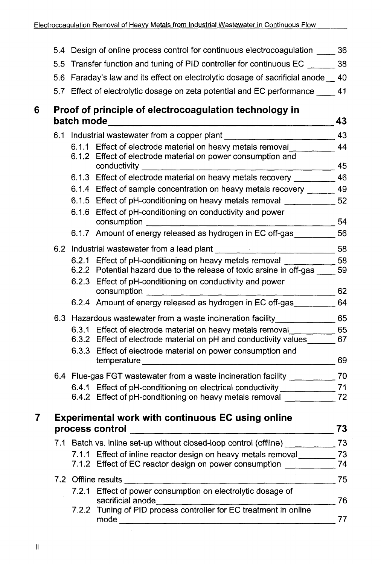|   |     | 5.4 Design of online process control for continuous electrocoagulation _____ 36                                                                                                                                 |    |
|---|-----|-----------------------------------------------------------------------------------------------------------------------------------------------------------------------------------------------------------------|----|
|   | 5.5 | Transfer function and tuning of PID controller for continuous EC _______ 38                                                                                                                                     |    |
|   |     | 5.6 Faraday's law and its effect on electrolytic dosage of sacrificial anode _ 40                                                                                                                               |    |
|   |     | 5.7 Effect of electrolytic dosage on zeta potential and EC performance ____ 41                                                                                                                                  |    |
| 6 |     | Proof of principle of electrocoagulation technology in                                                                                                                                                          | 43 |
|   |     | 6.1 Industrial wastewater from a copper plant __________________________________ 43                                                                                                                             |    |
|   |     | 6.1.1 Effect of electrode material on heavy metals removal ___________ 44<br>6.1.2 Effect of electrode material on power consumption and<br>conductivity the conductivity of the conductivity<br>$\frac{45}{2}$ |    |
|   |     | 6.1.3 Effect of electrode material on heavy metals recovery __________ 46                                                                                                                                       |    |
|   |     | 6.1.4 Effect of sample concentration on heavy metals recovery ______ 49                                                                                                                                         |    |
|   |     | 6.1.5 Effect of pH-conditioning on heavy metals removal ______________ 52                                                                                                                                       |    |
|   |     | 6.1.6 Effect of pH-conditioning on conductivity and power<br>consumption to the consumption                                                                                                                     |    |
|   |     | 6.1.7 Amount of energy released as hydrogen in EC off-gas _________ 56                                                                                                                                          |    |
|   |     | 6.2 Industrial wastewater from a lead plant ___________________________________58                                                                                                                               |    |
|   |     | 6.2.1 Effect of pH-conditioning on heavy metals removal _____________58                                                                                                                                         |    |
|   |     | 6.2.2 Potential hazard due to the release of toxic arsine in off-gas _____ 59                                                                                                                                   |    |
|   |     | 6.2.3 Effect of pH-conditioning on conductivity and power<br>consumption and the consumption<br>$\frac{62}{2}$                                                                                                  |    |
|   |     | 6.2.4 Amount of energy released as hydrogen in EC off-gas __________ 64                                                                                                                                         |    |
|   |     | 6.3 Hazardous wastewater from a waste incineration facility________________ 65                                                                                                                                  |    |
|   |     | 6.3.1 Effect of electrode material on heavy metals removal _____________ 65                                                                                                                                     |    |
|   |     | 6.3.2 Effect of electrode material on pH and conductivity values ______ 67                                                                                                                                      |    |
|   |     | 6.3.3 Effect of electrode material on power consumption and<br>temperature 69                                                                                                                                   |    |
|   |     | 6.4 Flue-gas FGT wastewater from a waste incineration facility ______________ 70                                                                                                                                |    |
|   |     | 6.4.1 Effect of pH-conditioning on electrical conductivity ________________71                                                                                                                                   |    |
|   |     | 6.4.2 Effect of pH-conditioning on heavy metals removal _____________ 72                                                                                                                                        |    |
| 7 |     | <b>Experimental work with continuous EC using online</b>                                                                                                                                                        | 73 |
|   |     | process control                                                                                                                                                                                                 |    |
|   |     | 7.1 Batch vs. inline set-up without closed-loop control (offline) ______________ 73                                                                                                                             |    |
|   |     | 7.1.1 Effect of inline reactor design on heavy metals removal ___________ 73<br>7.1.2 Effect of EC reactor design on power consumption __________________________                                               |    |
|   |     | $\frac{1}{2}$ 75                                                                                                                                                                                                |    |
|   |     | 7.2.1 Effect of power consumption on electrolytic dosage of<br>sacrificial anode materials                                                                                                                      | 76 |
|   |     | 7.2.2 Tuning of PID process controller for EC treatment in online<br>mode                                                                                                                                       | 77 |